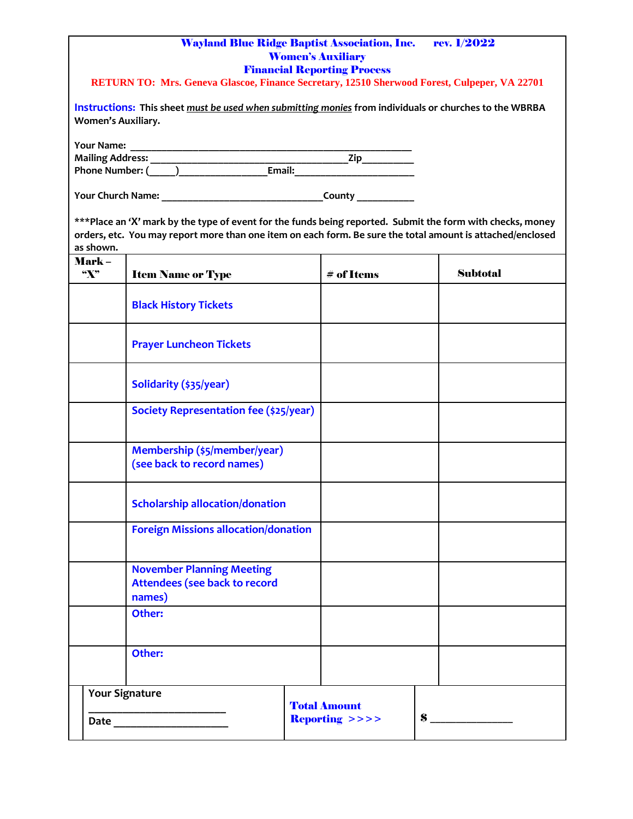|                                  | <b>Wayland Blue Ridge Baptist Association, Inc.</b><br>RETURN TO: Mrs. Geneva Glascoe, Finance Secretary, 12510 Sherwood Forest, Culpeper, VA 22701<br>Instructions: This sheet must be used when submitting monies from individuals or churches to the WBRBA | <b>Women's Auxiliary</b><br><b>Financial Reporting Process</b> | rev. 1/2022     |
|----------------------------------|---------------------------------------------------------------------------------------------------------------------------------------------------------------------------------------------------------------------------------------------------------------|----------------------------------------------------------------|-----------------|
| <b>Women's Auxiliary.</b>        |                                                                                                                                                                                                                                                               |                                                                |                 |
| <b>Your Name:</b>                |                                                                                                                                                                                                                                                               |                                                                |                 |
|                                  |                                                                                                                                                                                                                                                               |                                                                |                 |
| as shown.                        | ***Place an 'X' mark by the type of event for the funds being reported. Submit the form with checks, money<br>orders, etc. You may report more than one item on each form. Be sure the total amount is attached/enclosed                                      |                                                                |                 |
| Mark –<br>$\mathbf{X}^{\bullet}$ | <b>Item Name or Type</b>                                                                                                                                                                                                                                      | $#$ of Items                                                   | <b>Subtotal</b> |
|                                  | <b>Black History Tickets</b>                                                                                                                                                                                                                                  |                                                                |                 |
|                                  | <b>Prayer Luncheon Tickets</b>                                                                                                                                                                                                                                |                                                                |                 |
|                                  | Solidarity (\$35/year)                                                                                                                                                                                                                                        |                                                                |                 |
|                                  | Society Representation fee (\$25/year)                                                                                                                                                                                                                        |                                                                |                 |
|                                  | Membership (\$5/member/year)<br>(see back to record names)                                                                                                                                                                                                    |                                                                |                 |
|                                  | <b>Scholarship allocation/donation</b>                                                                                                                                                                                                                        |                                                                |                 |
|                                  | <b>Foreign Missions allocation/donation</b>                                                                                                                                                                                                                   |                                                                |                 |
|                                  | <b>November Planning Meeting</b><br><b>Attendees (see back to record</b><br>names)                                                                                                                                                                            |                                                                |                 |
|                                  | Other:                                                                                                                                                                                                                                                        |                                                                |                 |
|                                  | Other:                                                                                                                                                                                                                                                        |                                                                |                 |
|                                  | <b>Your Signature</b>                                                                                                                                                                                                                                         | <b>Total Amount</b>                                            |                 |
|                                  |                                                                                                                                                                                                                                                               | <b>Reporting &gt;&gt;&gt;&gt;</b>                              | $\mathbf{s}$    |